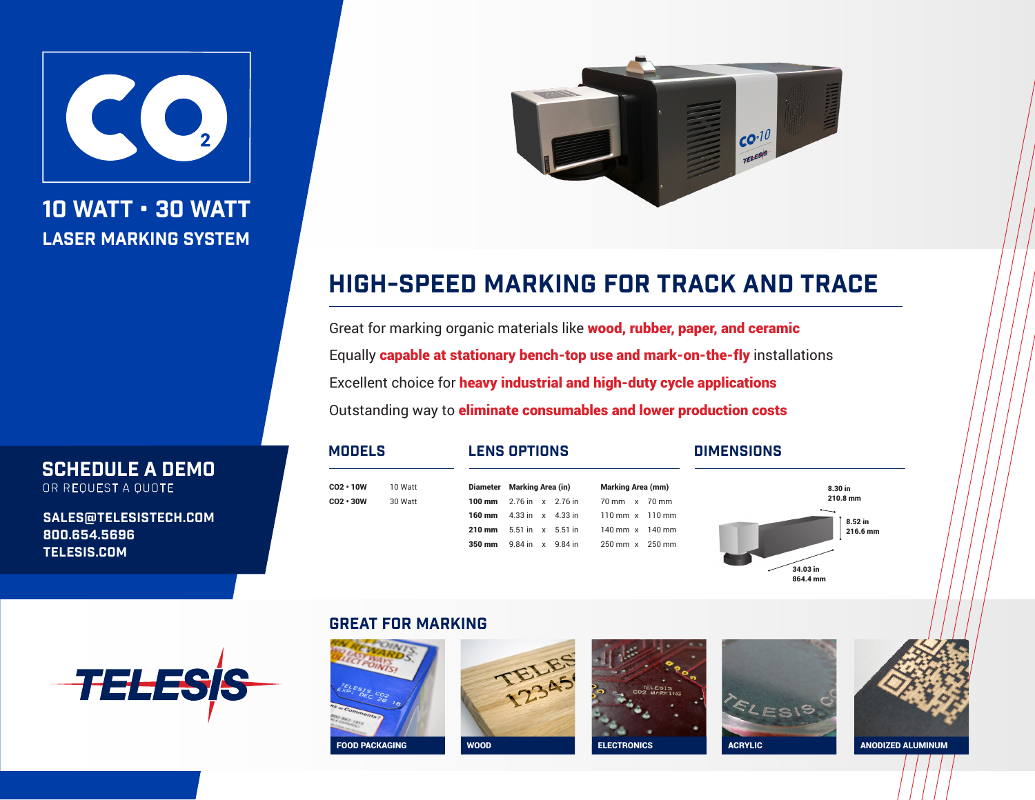

10 WATT • 30 WATT LASER MARKING SYSTEM



# HIGH-SPEED MARKING FOR TRACK AND TRACE

Great for marking organic materials like wood, rubber, paper, and ceramic Equally capable at stationary bench-top use and mark-on-the-fly installations Excellent choice for heavy industrial and high-duty cycle applications Outstanding way to eliminate consumables and lower production costs

> Diameter Marking Area (in) Marking Area (mm) 100 mm 2.76 in x 2.76 in 70 mm x 70 mm 160 mm 4.33 in x 4.33 in 110 mm x 110 mm 210 mm 5.51 in x 5.51 in 140 mm x 140 mm 350 mm 9.84 in x 9.84 in 250 mm x 250 mm

 $CO2 \cdot 10W$  10 Watt CO2 • 30W 30 Watt

## MODELS LENS OPTIONS Dimensions



OR REQUEST A QUOTE

SCHEDULE A DEMO

sales@telesistech.com 800.654.5696 telesis.com



# GREAT for marking